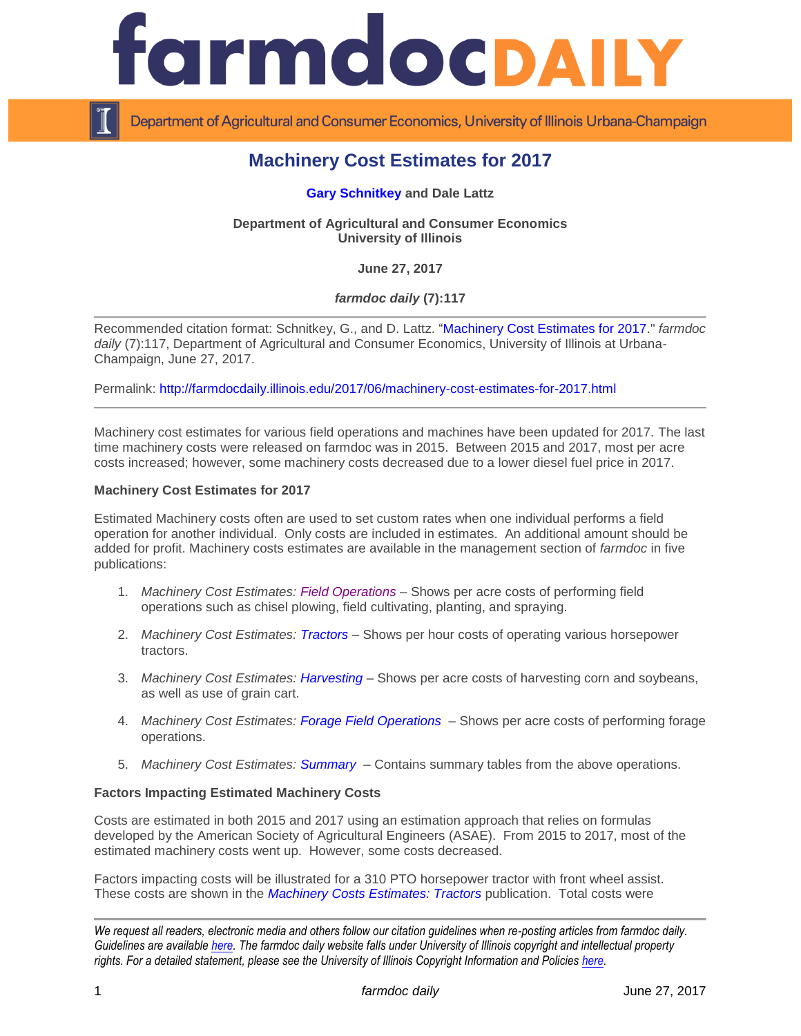

Department of Agricultural and Consumer Economics, University of Illinois Urbana-Champaign

# **Machinery Cost Estimates for 2017**

## **[Gary Schnitkey](http://farmdoc.illinois.edu/schnitkey) and Dale Lattz**

**Department of Agricultural and Consumer Economics University of Illinois**

**June 27, 2017**

# *farmdoc daily* **(7):117**

Recommended citation format: Schnitkey, G., and D. Lattz. ["Machinery Cost Estimates for 2017.](http://farmdocdaily.illinois.edu/2017/06/machinery-cost-estimates-for-2017.html)" *farmdoc*  daily (7):117, Department of Agricultural and Consumer Economics, University of Illinois at Urbana-Champaign, June 27, 2017.

Permalink: <http://farmdocdaily.illinois.edu/2017/06/machinery-cost-estimates-for-2017.html>

Machinery cost estimates for various field operations and machines have been updated for 2017. The last time machinery costs were released on farmdoc was in 2015. Between 2015 and 2017, most per acre costs increased; however, some machinery costs decreased due to a lower diesel fuel price in 2017.

#### **Machinery Cost Estimates for 2017**

Estimated Machinery costs often are used to set custom rates when one individual performs a field operation for another individual. Only costs are included in estimates. An additional amount should be added for profit. Machinery costs estimates are available in the management section of *farmdoc* in five publications:

- 1. *Machinery Cost Estimates: [Field Operations](http://farmdoc.illinois.edu/manage/machinery/field_operations_2017.pdf)* Shows per acre costs of performing field operations such as chisel plowing, field cultivating, planting, and spraying.
- 2. *Machinery Cost Estimates: [Tractors](http://farmdoc.illinois.edu/manage/machinery/tractors_2017.pdf)* Shows per hour costs of operating various horsepower tractors.
- 3. *Machinery Cost Estimates: [Harvesting](http://farmdoc.illinois.edu/manage/machinery/harvest_operations_2017.pdf)* Shows per acre costs of harvesting corn and soybeans, as well as use of grain cart.
- 4. *Machinery Cost Estimates: [Forage Field Operations](http://farmdoc.illinois.edu/manage/machinery/forages_2017.pdf)* Shows per acre costs of performing forage operations.
- 5. *Machinery Cost Estimates: [Summary](http://farmdoc.illinois.edu/manage/machinery/summary_2017.pdf)* Contains summary tables from the above operations.

#### **Factors Impacting Estimated Machinery Costs**

Costs are estimated in both 2015 and 2017 using an estimation approach that relies on formulas developed by the American Society of Agricultural Engineers (ASAE). From 2015 to 2017, most of the estimated machinery costs went up. However, some costs decreased.

Factors impacting costs will be illustrated for a 310 PTO horsepower tractor with front wheel assist. These costs are shown in the *Machinery [Costs Estimates: Tractors](http://farmdoc.illinois.edu/manage/machinery/tractors_2017.pdf)* publication. Total costs were

*We request all readers, electronic media and others follow our citation guidelines when re-posting articles from farmdoc daily. Guidelines are available [here.](http://farmdocdaily.illinois.edu/citationguide.html) The farmdoc daily website falls under University of Illinois copyright and intellectual property rights. For a detailed statement, please see the University of Illinois Copyright Information and Policies [here.](http://www.cio.illinois.edu/policies/copyright/)*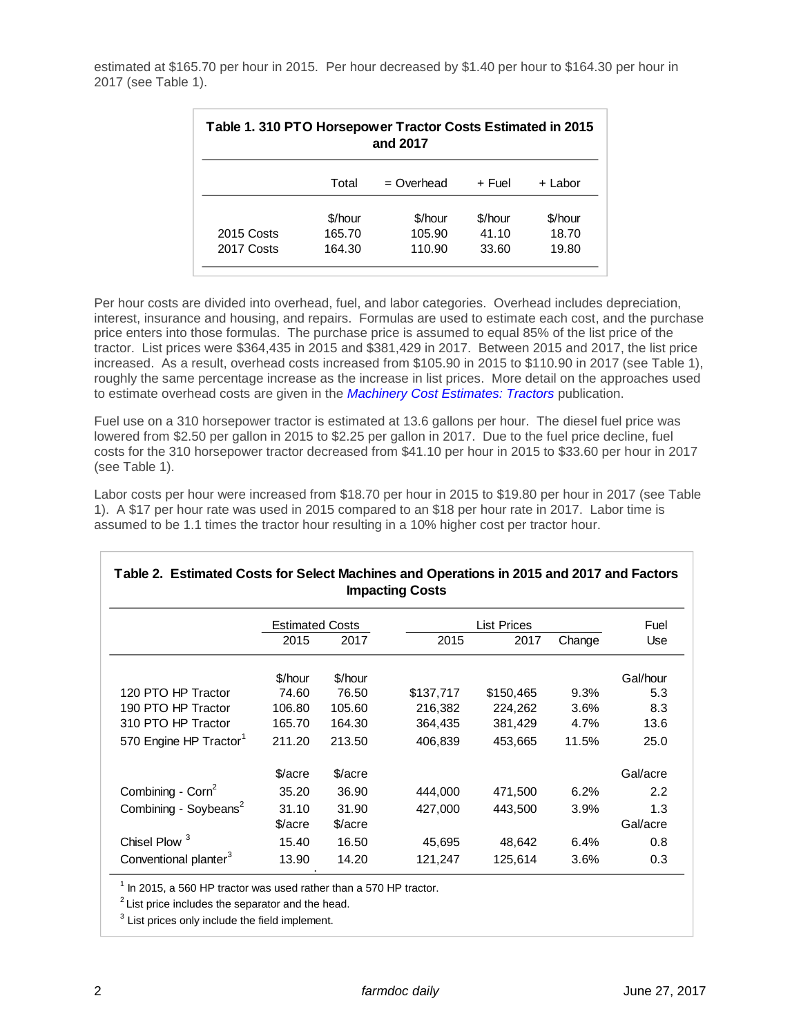estimated at \$165.70 per hour in 2015. Per hour decreased by \$1.40 per hour to \$164.30 per hour in 2017 (see Table 1).

| Table 1. 310 PTO Horsepower Tractor Costs Estimated in 2015<br>and 2017 |         |              |         |         |  |  |  |  |
|-------------------------------------------------------------------------|---------|--------------|---------|---------|--|--|--|--|
|                                                                         | Total   | $=$ Overhead | + Fuel  | + Labor |  |  |  |  |
|                                                                         | \$/hour | \$/hour      | \$/hour | \$/hour |  |  |  |  |
| 2015 Costs                                                              | 165.70  | 105.90       | 41.10   | 18.70   |  |  |  |  |
| 2017 Costs                                                              | 164.30  | 110.90       | 33.60   | 19.80   |  |  |  |  |

Per hour costs are divided into overhead, fuel, and labor categories. Overhead includes depreciation, interest, insurance and housing, and repairs. Formulas are used to estimate each cost, and the purchase price enters into those formulas. The purchase price is assumed to equal 85% of the list price of the tractor. List prices were \$364,435 in 2015 and \$381,429 in 2017. Between 2015 and 2017, the list price increased. As a result, overhead costs increased from \$105.90 in 2015 to \$110.90 in 2017 (see Table 1), roughly the same percentage increase as the increase in list prices. More detail on the approaches used to estimate overhead costs are given in the *Machinery Cost [Estimates: Tractors](http://farmdoc.illinois.edu/manage/machinery/tractors_2017.pdf)* publication.

Fuel use on a 310 horsepower tractor is estimated at 13.6 gallons per hour. The diesel fuel price was lowered from \$2.50 per gallon in 2015 to \$2.25 per gallon in 2017. Due to the fuel price decline, fuel costs for the 310 horsepower tractor decreased from \$41.10 per hour in 2015 to \$33.60 per hour in 2017 (see Table 1).

Labor costs per hour were increased from \$18.70 per hour in 2015 to \$19.80 per hour in 2017 (see Table 1). A \$17 per hour rate was used in 2015 compared to an \$18 per hour rate in 2017. Labor time is assumed to be 1.1 times the tractor hour resulting in a 10% higher cost per tractor hour.

| <b>Impacting Costs</b>             |                        |         |                    |           |        |          |  |  |
|------------------------------------|------------------------|---------|--------------------|-----------|--------|----------|--|--|
|                                    | <b>Estimated Costs</b> |         | <b>List Prices</b> |           |        | Fuel     |  |  |
|                                    | 2015                   | 2017    | 2015               | 2017      | Change | Use      |  |  |
|                                    | \$/hour                | \$/hour |                    |           |        | Gal/hour |  |  |
| 120 PTO HP Tractor                 | 74.60                  | 76.50   | \$137,717          | \$150,465 | 9.3%   | 5.3      |  |  |
| 190 PTO HP Tractor                 | 106.80                 | 105.60  | 216,382            | 224,262   | 3.6%   | 8.3      |  |  |
| 310 PTO HP Tractor                 | 165.70                 | 164.30  | 364,435            | 381,429   | 4.7%   | 13.6     |  |  |
| 570 Engine HP Tractor <sup>1</sup> | 211.20                 | 213.50  | 406.839            | 453.665   | 11.5%  | 25.0     |  |  |
|                                    | \$/acre                | \$/acre |                    |           |        | Gal/acre |  |  |
| Combining - $\text{Corn}^2$        | 35.20                  | 36.90   | 444,000            | 471,500   | 6.2%   | 2.2      |  |  |
| Combining - Soybeans <sup>2</sup>  | 31.10                  | 31.90   | 427.000            | 443.500   | 3.9%   | 1.3      |  |  |
|                                    | \$/acre                | \$/acre |                    |           |        | Gal/acre |  |  |
| <b>Chisel Plow</b>                 | 15.40                  | 16.50   | 45,695             | 48,642    | 6.4%   | 0.8      |  |  |
| Conventional planter <sup>3</sup>  | 13.90                  | 14.20   | 121,247            | 125,614   | 3.6%   | 0.3      |  |  |

# **Table 2. Estimated Costs for Select Machines and Operations in 2015 and 2017 and Factors**

 $<sup>1</sup>$  In 2015, a 560 HP tractor was used rather than a 570 HP tractor.</sup>

 $2$  List price includes the separator and the head.

 $3$  List prices only include the field implement.